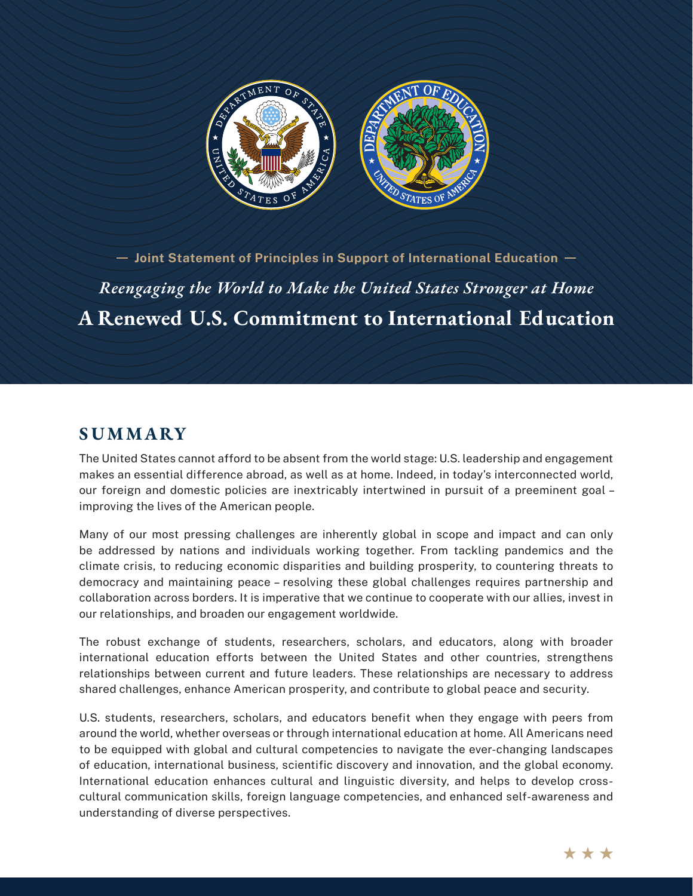

*Reengaging the World to Make the United States Stronger at Home* **A Renewed U.S. Commitment to International Education**  $-$  Joint Statement of Principles in Support of International Education  $-$ 

### **S U M M ARY**

The United States cannot afford to be absent from the world stage: U.S. leadership and engagement makes an essential difference abroad, as well as at home. Indeed, in today's interconnected world, our foreign and domestic policies are inextricably intertwined in pursuit of a preeminent goal – improving the lives of the American people.

Many of our most pressing challenges are inherently global in scope and impact and can only be addressed by nations and individuals working together. From tackling pandemics and the climate crisis, to reducing economic disparities and building prosperity, to countering threats to democracy and maintaining peace – resolving these global challenges requires partnership and collaboration across borders. It is imperative that we continue to cooperate with our allies, invest in our relationships, and broaden our engagement worldwide.

The robust exchange of students, researchers, scholars, and educators, along with broader international education efforts between the United States and other countries, strengthens relationships between current and future leaders. These relationships are necessary to address shared challenges, enhance American prosperity, and contribute to global peace and security.

U.S. students, researchers, scholars, and educators benefit when they engage with peers from around the world, whether overseas or through international education at home. All Americans need to be equipped with global and cultural competencies to navigate the ever-changing landscapes of education, international business, scientific discovery and innovation, and the global economy. International education enhances cultural and linguistic diversity, and helps to develop crosscultural communication skills, foreign language competencies, and enhanced self-awareness and understanding of diverse perspectives.

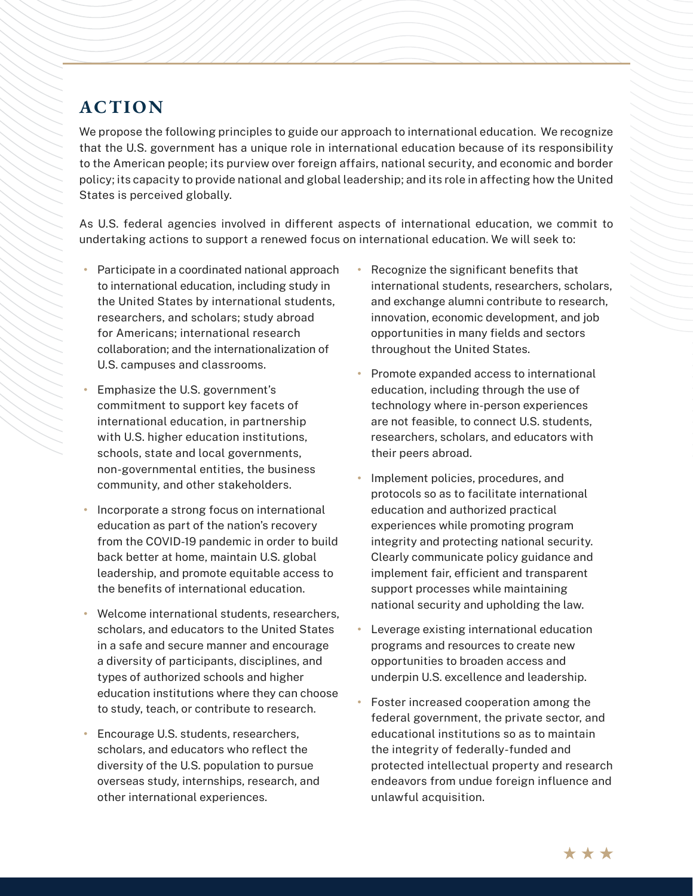# **ACTION**

We propose the following principles to guide our approach to international education. We recognize that the U.S. government has a unique role in international education because of its responsibility to the American people; its purview over foreign affairs, national security, and economic and border policy; its capacity to provide national and global leadership; and its role in affecting how the United States is perceived globally.

As U.S. federal agencies involved in different aspects of international education, we commit to undertaking actions to support a renewed focus on international education. We will seek to:

- **•** Participate in a coordinated national approach to international education, including study in the United States by international students, researchers, and scholars; study abroad for Americans; international research collaboration; and the internationalization of U.S. campuses and classrooms.
- **•** Emphasize the U.S. government's commitment to support key facets of international education, in partnership with U.S. higher education institutions, schools, state and local governments, non-governmental entities, the business community, and other stakeholders.
- **•** Incorporate a strong focus on international education as part of the nation's recovery from the COVID-19 pandemic in order to build back better at home, maintain U.S. global leadership, and promote equitable access to the benefits of international education.
- **•** Welcome international students, researchers, scholars, and educators to the United States in a safe and secure manner and encourage a diversity of participants, disciplines, and types of authorized schools and higher education institutions where they can choose to study, teach, or contribute to research.
- **•** Encourage U.S. students, researchers, scholars, and educators who reflect the diversity of the U.S. population to pursue overseas study, internships, research, and other international experiences.
- **•** Recognize the significant benefits that international students, researchers, scholars, and exchange alumni contribute to research, innovation, economic development, and job opportunities in many fields and sectors throughout the United States.
- **•** Promote expanded access to international education, including through the use of technology where in-person experiences are not feasible, to connect U.S. students, researchers, scholars, and educators with their peers abroad.
- **•** Implement policies, procedures, and protocols so as to facilitate international education and authorized practical experiences while promoting program integrity and protecting national security. Clearly communicate policy guidance and implement fair, efficient and transparent support processes while maintaining national security and upholding the law.
- **•** Leverage existing international education programs and resources to create new opportunities to broaden access and underpin U.S. excellence and leadership.
- **•** Foster increased cooperation among the federal government, the private sector, and educational institutions so as to maintain the integrity of federally-funded and protected intellectual property and research endeavors from undue foreign influence and unlawful acquisition.

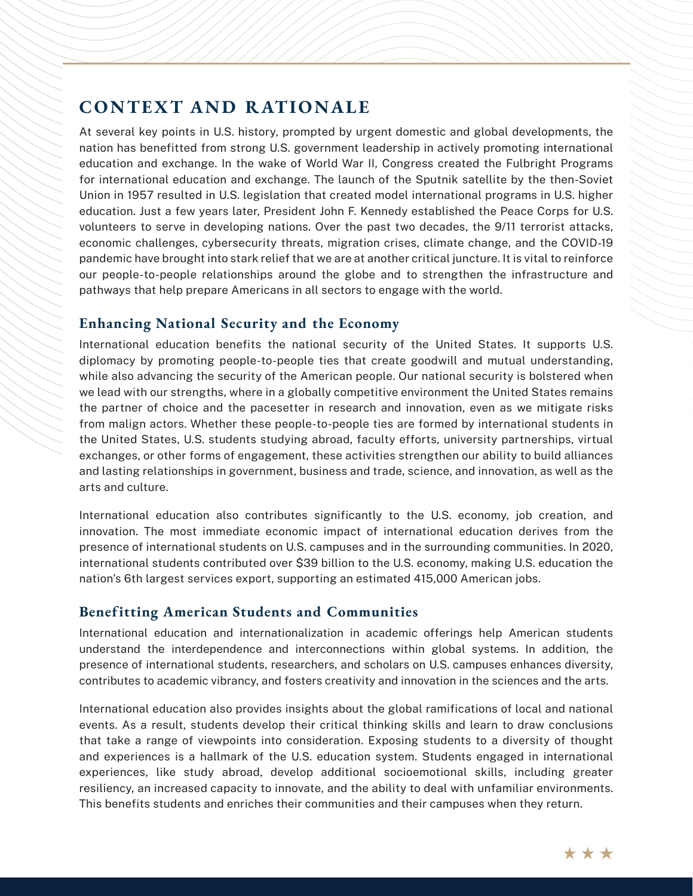## **CONTEXT AND RATIONALE**

At several key points in U.S. history, prompted by urgent domestic and global developments, the nation has benefitted from strong U.S. government leadership in actively promoting international education and exchange. In the wake of World War II, Congress created the Fulbright Programs for international education and exchange. The launch of the Sputnik satellite by the then-Soviet Union in 1957 resulted in U.S. legislation that created model international programs in U.S. higher education. Just a few years later, President John F. Kennedy established the Peace Corps for U.S. volunteers to serve in developing nations. Over the past two decades, the 9/11 terrorist attacks, economic challenges, cybersecurity threats, migration crises, climate change, and the COVID-19 pandemic have brought into stark relief that we are at another critical juncture. It is vital to reinforce our people-to-people relationships around the globe and to strengthen the infrastructure and pathways that help prepare Americans in all sectors to engage with the world.

#### **Enhancing National Security and the Economy**

International education benefits the national security of the United States. It supports U.S. diplomacy by promoting people-to-people ties that create goodwill and mutual understanding, while also advancing the security of the American people. Our national security is bolstered when we lead with our strengths, where in a globally competitive environment the United States remains the partner of choice and the pacesetter in research and innovation, even as we mitigate risks from malign actors. Whether these people-to-people ties are formed by international students in the United States, U.S. students studying abroad, faculty efforts, university partnerships, virtual exchanges, or other forms of engagement, these activities strengthen our ability to build alliances and lasting relationships in government, business and trade, science, and innovation, as well as the arts and culture.

International education also contributes significantly to the U.S. economy, job creation, and innovation. The most immediate economic impact of international education derives from the presence of international students on U.S. campuses and in the surrounding communities. In 2020, international students contributed over \$39 billion to the U.S. economy, making U.S. education the nation's 6th largest services export, supporting an estimated 415,000 American jobs.

#### **Benefitting American Students and Communities**

International education and internationalization in academic offerings help American students understand the interdependence and interconnections within global systems. In addition, the presence of international students, researchers, and scholars on U.S. campuses enhances diversity, contributes to academic vibrancy, and fosters creativity and innovation in the sciences and the arts.

International education also provides insights about the global ramifications of local and national events. As a result, students develop their critical thinking skills and learn to draw conclusions that take a range of viewpoints into consideration. Exposing students to a diversity of thought and experiences is a hallmark of the U.S. education system. Students engaged in international experiences, like study abroad, develop additional socioemotional skills, including greater resiliency, an increased capacity to innovate, and the ability to deal with unfamiliar environments. This benefits students and enriches their communities and their campuses when they return.